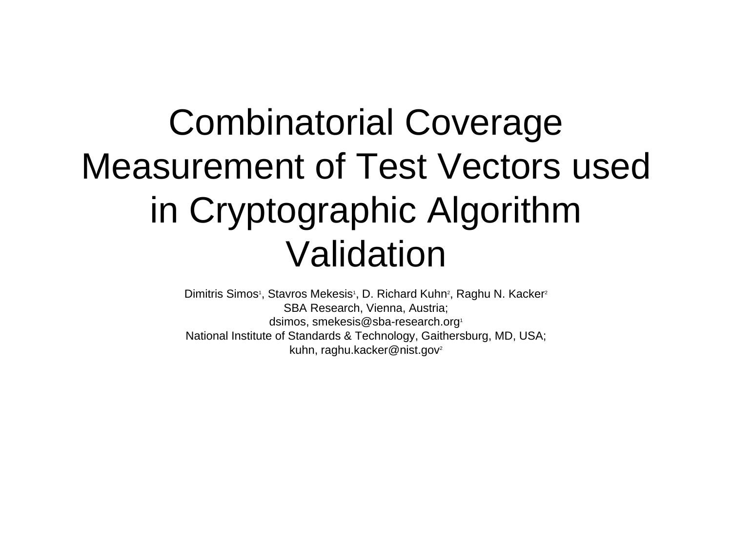#### Combinatorial Coverage Measurement of Test Vectors used in Cryptographic Algorithm Validation

Dimitris Simos<sup>1</sup>, Stavros Mekesis<sup>1</sup>, D. Richard Kuhn<sup>2</sup>, Raghu N. Kacker<sup>2</sup> SBA Research, Vienna, Austria; dsimos, smekesis@sba-research.org1 National Institute of Standards & Technology, Gaithersburg, MD, USA; kuhn, raghu.kacker@nist.gov<sup>2</sup>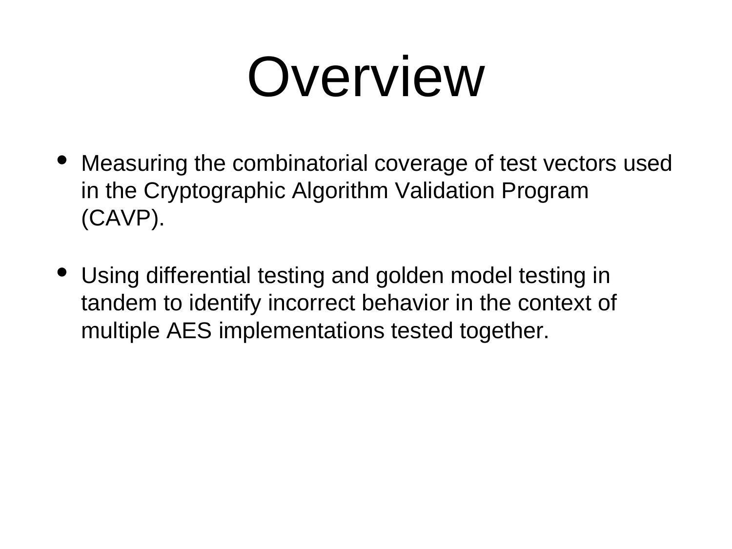#### Overview

- Measuring the combinatorial coverage of test vectors used in the Cryptographic Algorithm Validation Program (CAVP).
- Using differential testing and golden model testing in tandem to identify incorrect behavior in the context of multiple AES implementations tested together.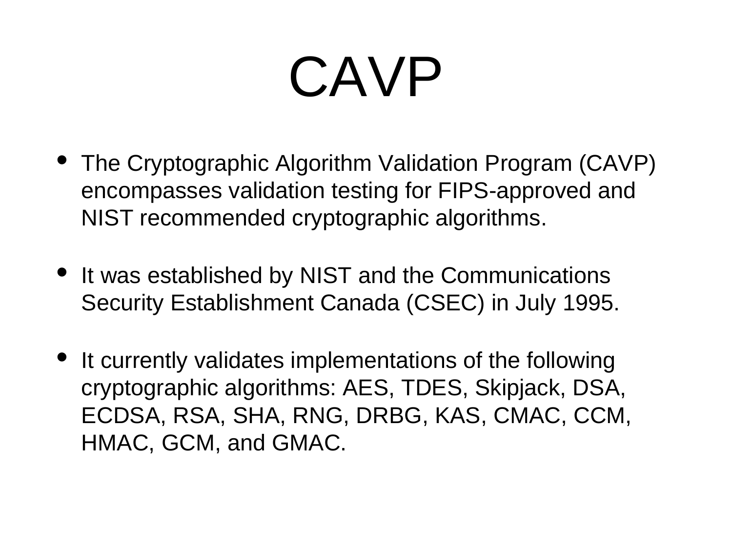#### CAVP

- The Cryptographic Algorithm Validation Program (CAVP) encompasses validation testing for FIPS-approved and NIST recommended cryptographic algorithms.
- It was established by NIST and the Communications Security Establishment Canada (CSEC) in July 1995.
- It currently validates implementations of the following cryptographic algorithms: AES, TDES, Skipjack, DSA, ECDSA, RSA, SHA, RNG, DRBG, KAS, CMAC, CCM, HMAC, GCM, and GMAC.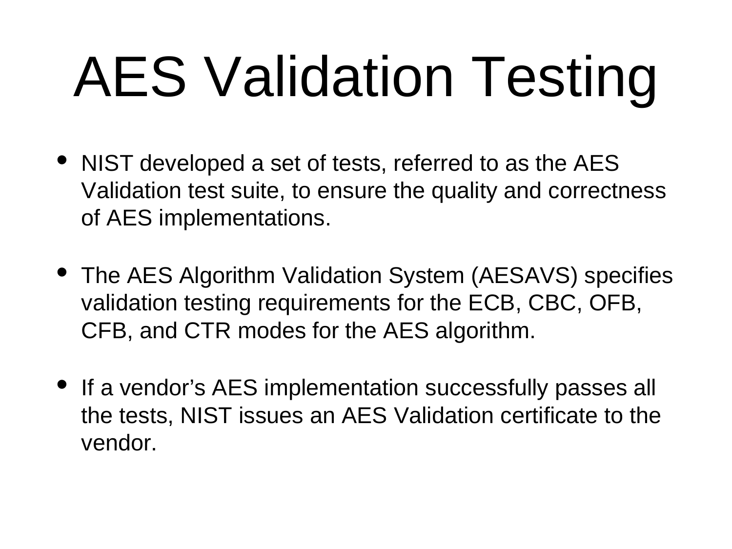# AES Validation Testing

- NIST developed a set of tests, referred to as the AES Validation test suite, to ensure the quality and correctness of AES implementations.
- The AES Algorithm Validation System (AESAVS) specifies validation testing requirements for the ECB, CBC, OFB, CFB, and CTR modes for the AES algorithm.
- If a vendor's AES implementation successfully passes all the tests, NIST issues an AES Validation certificate to the vendor.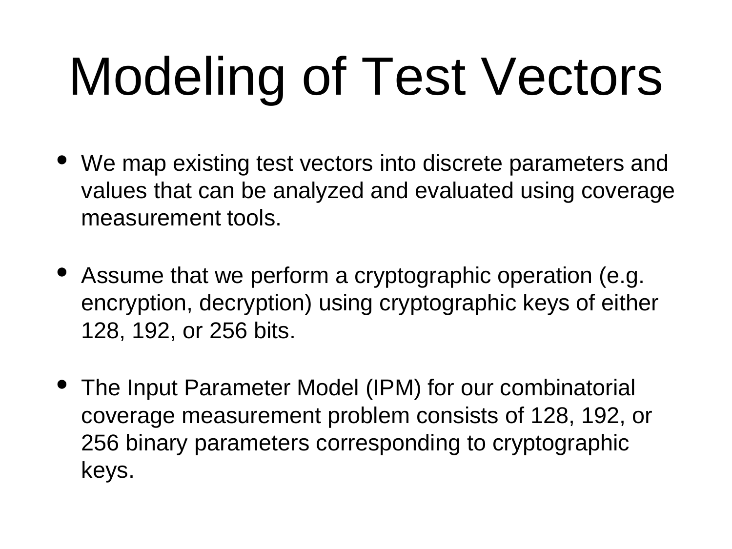# Modeling of Test Vectors

- We map existing test vectors into discrete parameters and values that can be analyzed and evaluated using coverage measurement tools.
- Assume that we perform a cryptographic operation (e.g. encryption, decryption) using cryptographic keys of either 128, 192, or 256 bits.
- The Input Parameter Model (IPM) for our combinatorial coverage measurement problem consists of 128, 192, or 256 binary parameters corresponding to cryptographic keys.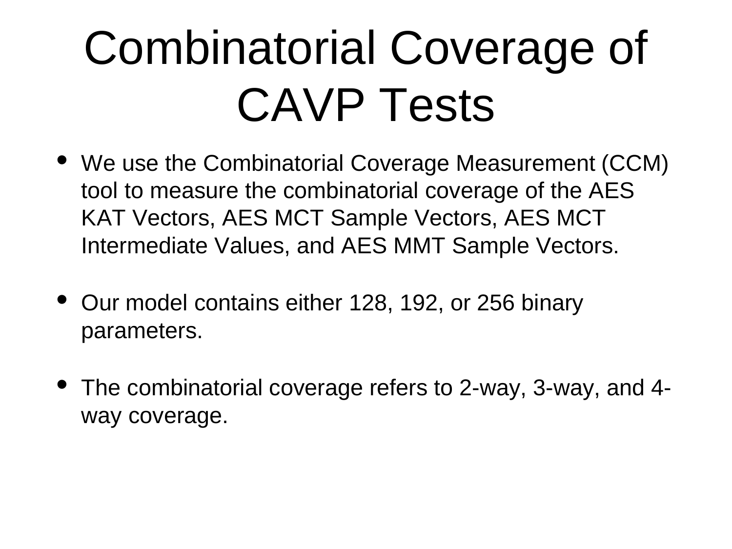#### Combinatorial Coverage of CAVP Tests

- We use the Combinatorial Coverage Measurement (CCM) tool to measure the combinatorial coverage of the AES KAT Vectors, AES MCT Sample Vectors, AES MCT Intermediate Values, and AES MMT Sample Vectors.
- Our model contains either 128, 192, or 256 binary parameters.
- The combinatorial coverage refers to 2-way, 3-way, and 4 way coverage.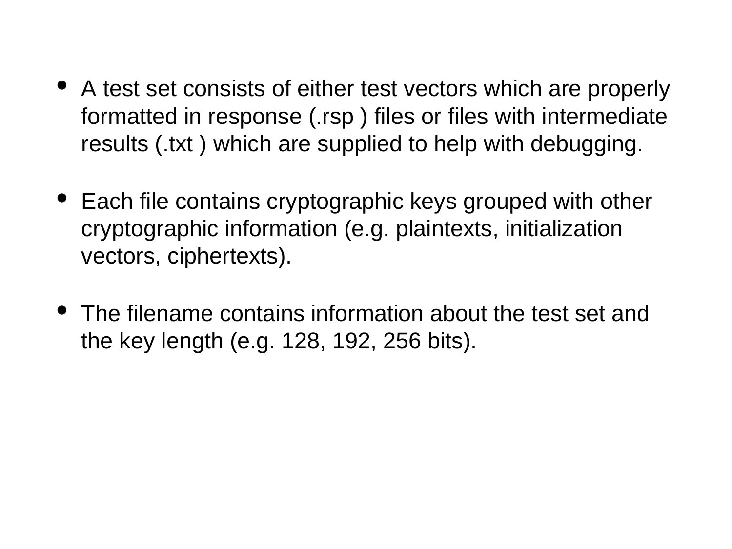- A test set consists of either test vectors which are properly formatted in response (.rsp ) files or files with intermediate results (.txt ) which are supplied to help with debugging.
- Each file contains cryptographic keys grouped with other cryptographic information (e.g. plaintexts, initialization vectors, ciphertexts).
- The filename contains information about the test set and the key length (e.g. 128, 192, 256 bits).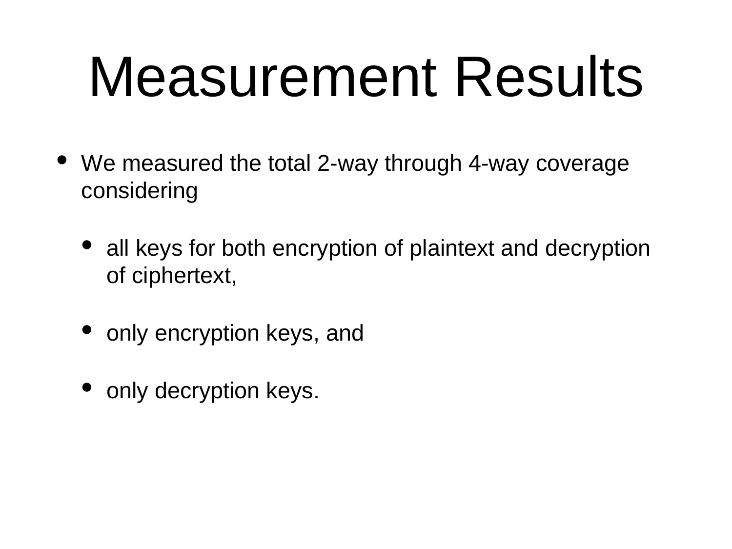#### Measurement Results

- We measured the total 2-way through 4-way coverage considering
	- all keys for both encryption of plaintext and decryption of ciphertext,
	- only encryption keys, and
	- only decryption keys.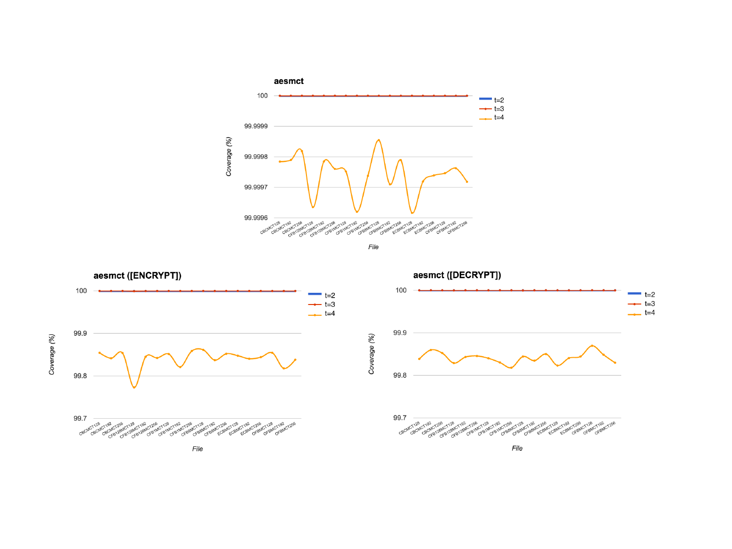







File

File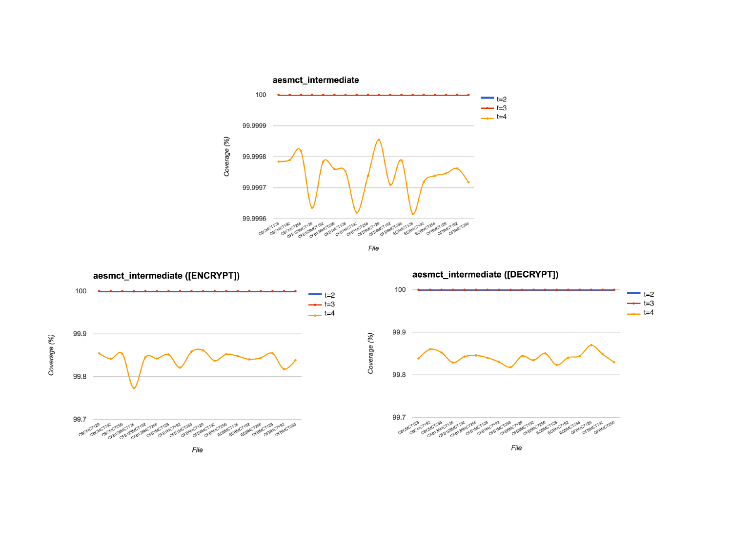



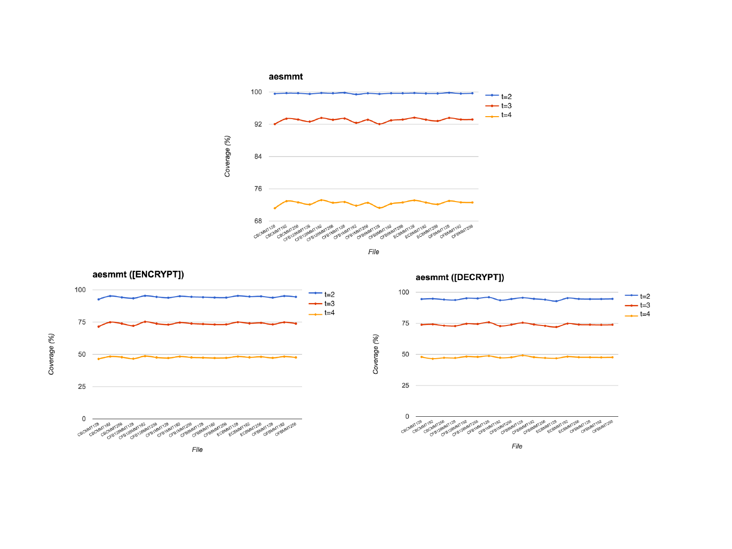

File

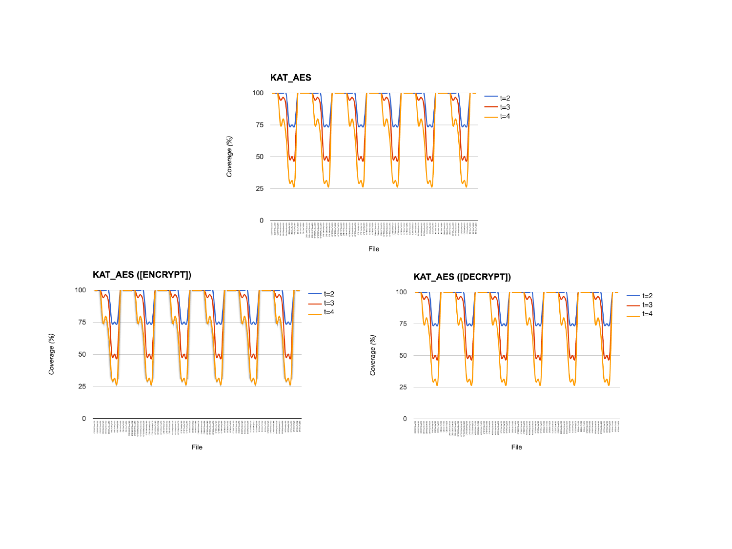





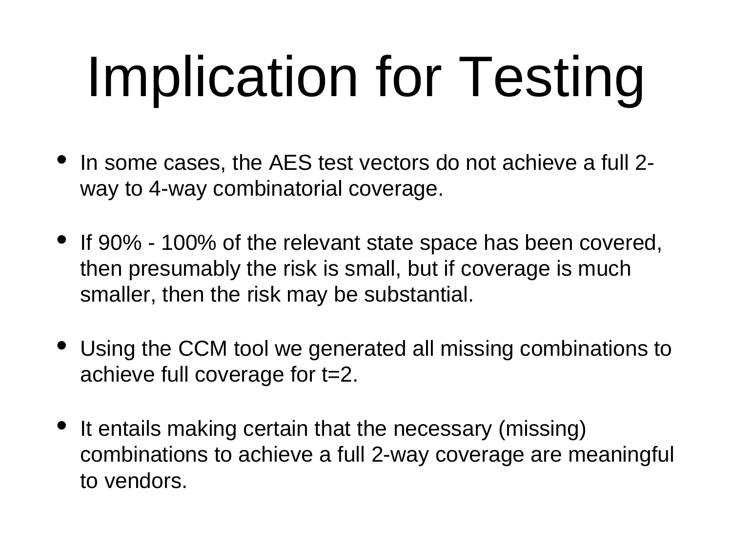# Implication for Testing

- In some cases, the AES test vectors do not achieve a full 2 way to 4-way combinatorial coverage.
- If 90% 100% of the relevant state space has been covered, then presumably the risk is small, but if coverage is much smaller, then the risk may be substantial.
- Using the CCM tool we generated all missing combinations to achieve full coverage for t=2.
- It entails making certain that the necessary (missing) combinations to achieve a full 2-way coverage are meaningful to vendors.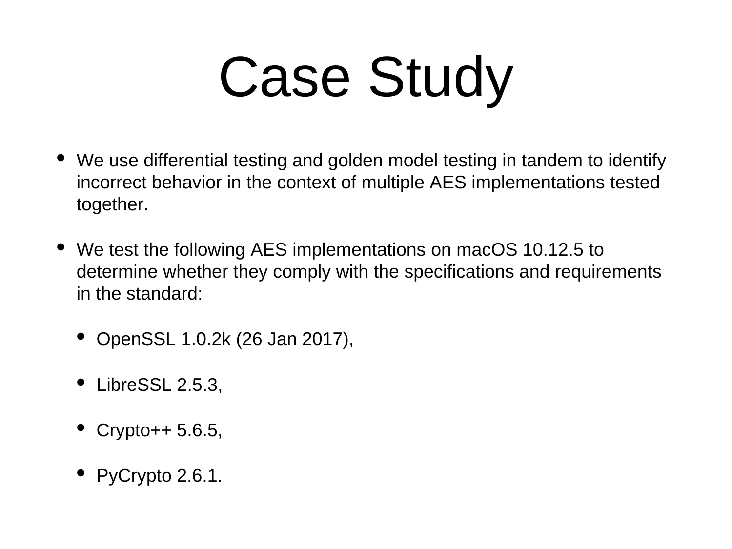# Case Study

- We use differential testing and golden model testing in tandem to identify incorrect behavior in the context of multiple AES implementations tested together.
- We test the following AES implementations on macOS 10.12.5 to determine whether they comply with the specifications and requirements in the standard:
	- OpenSSL 1.0.2k (26 Jan 2017),
	- LibreSSL 2.5.3,
	- Crypto++ 5.6.5,
	- PyCrypto 2.6.1.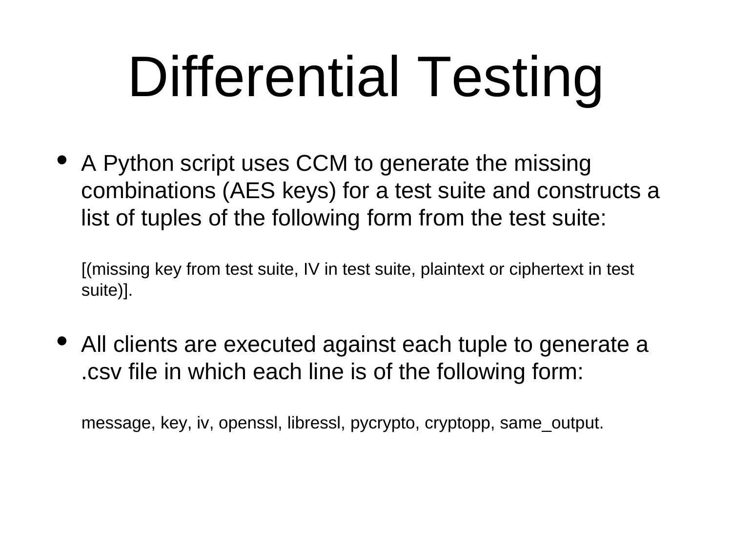# Differential Testing

• A Python script uses CCM to generate the missing combinations (AES keys) for a test suite and constructs a list of tuples of the following form from the test suite:

[(missing key from test suite, IV in test suite, plaintext or ciphertext in test suite)].

• All clients are executed against each tuple to generate a .csv file in which each line is of the following form:

message, key, iv, openssl, libressl, pycrypto, cryptopp, same\_output.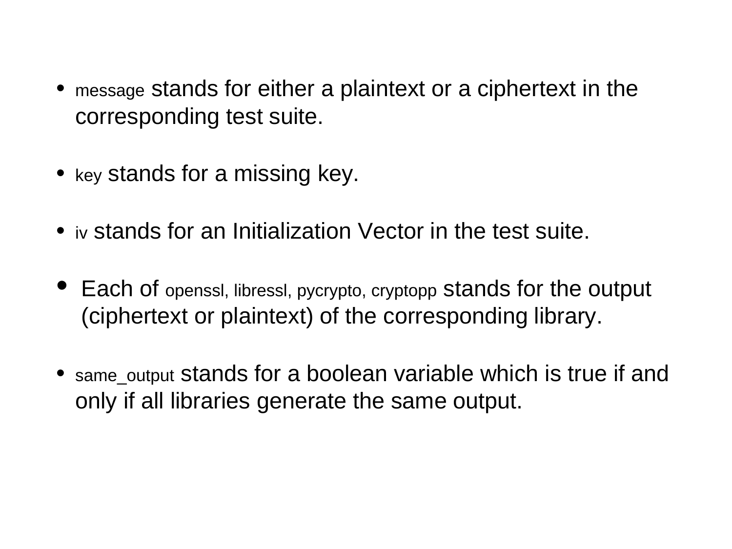- message stands for either a plaintext or a ciphertext in the corresponding test suite.
- key stands for a missing key.
- iv stands for an Initialization Vector in the test suite.
- Each of openssl, libressl, pycrypto, cryptopp stands for the output (ciphertext or plaintext) of the corresponding library.
- same\_output stands for a boolean variable which is true if and only if all libraries generate the same output.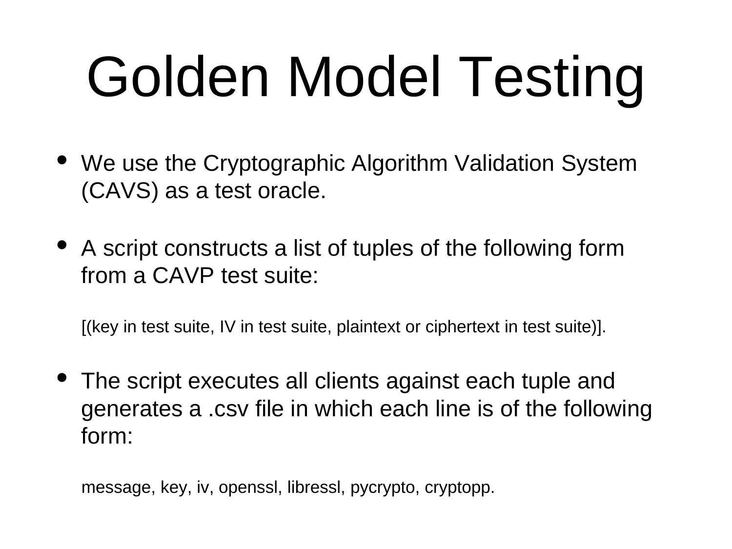# Golden Model Testing

- We use the Cryptographic Algorithm Validation System (CAVS) as a test oracle.
- A script constructs a list of tuples of the following form from a CAVP test suite:

[(key in test suite, IV in test suite, plaintext or ciphertext in test suite)].

The script executes all clients against each tuple and generates a .csv file in which each line is of the following form:

message, key, iv, openssl, libressl, pycrypto, cryptopp.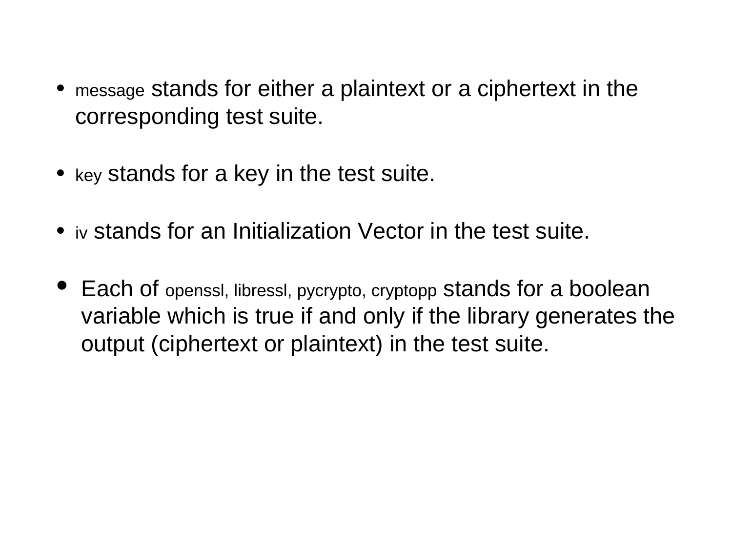- message stands for either a plaintext or a ciphertext in the corresponding test suite.
- key stands for a key in the test suite.
- iv stands for an Initialization Vector in the test suite.
- Each of openssl, libressl, pycrypto, cryptopp stands for a boolean variable which is true if and only if the library generates the output (ciphertext or plaintext) in the test suite.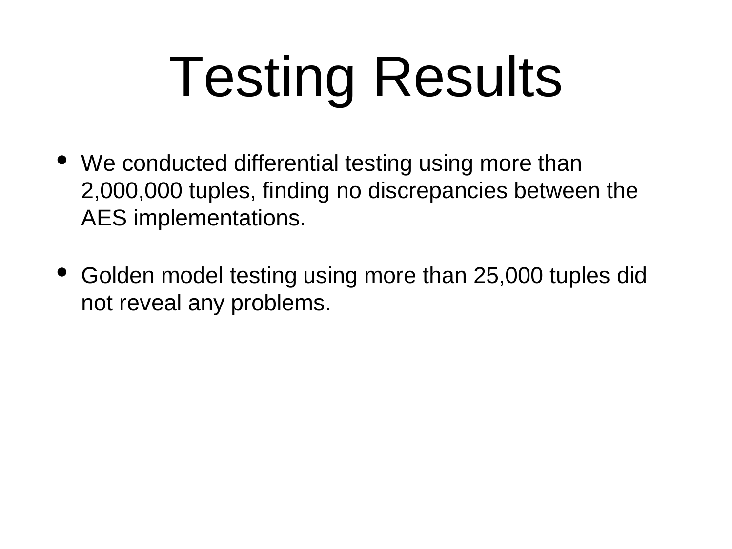# Testing Results

- We conducted differential testing using more than 2,000,000 tuples, finding no discrepancies between the AES implementations.
- Golden model testing using more than 25,000 tuples did not reveal any problems.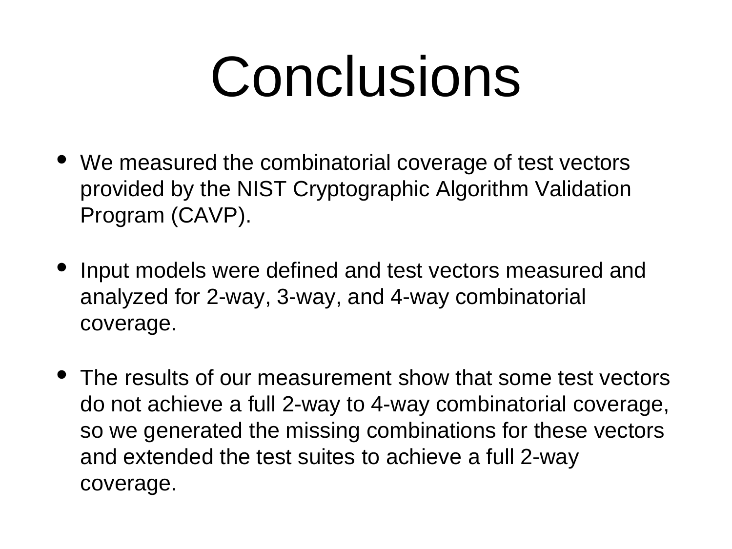#### Conclusions

- We measured the combinatorial coverage of test vectors provided by the NIST Cryptographic Algorithm Validation Program (CAVP).
- Input models were defined and test vectors measured and analyzed for 2-way, 3-way, and 4-way combinatorial coverage.
- The results of our measurement show that some test vectors do not achieve a full 2-way to 4-way combinatorial coverage, so we generated the missing combinations for these vectors and extended the test suites to achieve a full 2-way coverage.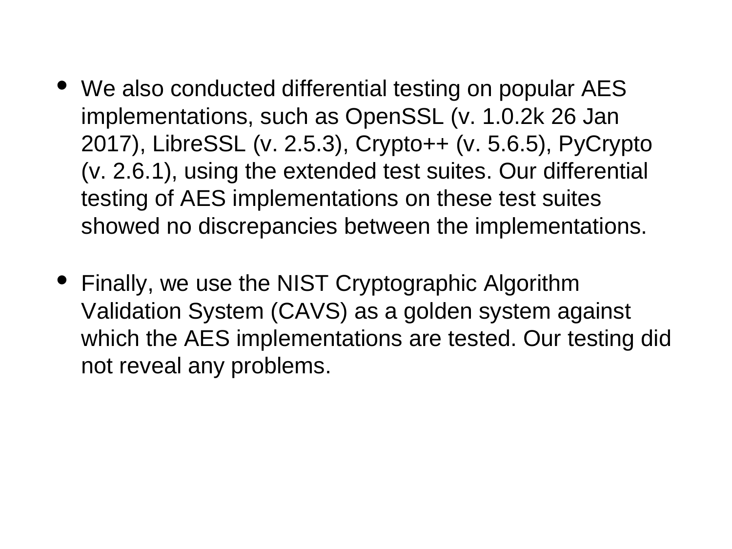- We also conducted differential testing on popular AES implementations, such as OpenSSL (v. 1.0.2k 26 Jan 2017), LibreSSL (v. 2.5.3), Crypto++ (v. 5.6.5), PyCrypto (v. 2.6.1), using the extended test suites. Our differential testing of AES implementations on these test suites showed no discrepancies between the implementations.
- Finally, we use the NIST Cryptographic Algorithm Validation System (CAVS) as a golden system against which the AES implementations are tested. Our testing did not reveal any problems.